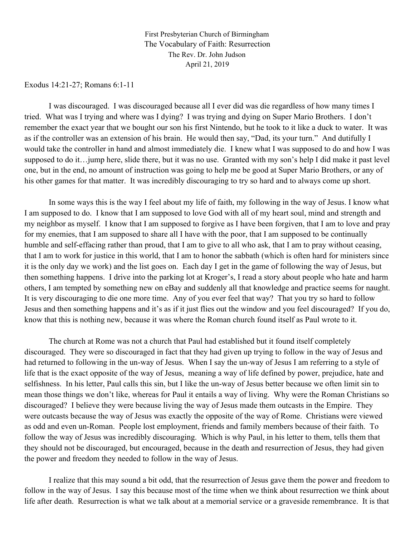First Presbyterian Church of Birmingham The Vocabulary of Faith: Resurrection The Rev. Dr. John Judson April 21, 2019

Exodus 14:21-27; Romans 6:1-11

I was discouraged. I was discouraged because all I ever did was die regardless of how many times I tried. What was I trying and where was I dying? I was trying and dying on Super Mario Brothers. I don't remember the exact year that we bought our son his first Nintendo, but he took to it like a duck to water. It was as if the controller was an extension of his brain. He would then say, "Dad, its your turn." And dutifully I would take the controller in hand and almost immediately die. I knew what I was supposed to do and how I was supposed to do it…jump here, slide there, but it was no use. Granted with my son's help I did make it past level one, but in the end, no amount of instruction was going to help me be good at Super Mario Brothers, or any of his other games for that matter. It was incredibly discouraging to try so hard and to always come up short.

In some ways this is the way I feel about my life of faith, my following in the way of Jesus. I know what I am supposed to do. I know that I am supposed to love God with all of my heart soul, mind and strength and my neighbor as myself. I know that I am supposed to forgive as I have been forgiven, that I am to love and pray for my enemies, that I am supposed to share all I have with the poor, that I am supposed to be continually humble and self-effacing rather than proud, that I am to give to all who ask, that I am to pray without ceasing, that I am to work for justice in this world, that I am to honor the sabbath (which is often hard for ministers since it is the only day we work) and the list goes on. Each day I get in the game of following the way of Jesus, but then something happens. I drive into the parking lot at Kroger's, I read a story about people who hate and harm others, I am tempted by something new on eBay and suddenly all that knowledge and practice seems for naught. It is very discouraging to die one more time. Any of you ever feel that way? That you try so hard to follow Jesus and then something happens and it's as if it just flies out the window and you feel discouraged? If you do, know that this is nothing new, because it was where the Roman church found itself as Paul wrote to it.

The church at Rome was not a church that Paul had established but it found itself completely discouraged. They were so discouraged in fact that they had given up trying to follow in the way of Jesus and had returned to following in the un-way of Jesus. When I say the un-way of Jesus I am referring to a style of life that is the exact opposite of the way of Jesus, meaning a way of life defined by power, prejudice, hate and selfishness. In his letter, Paul calls this sin, but I like the un-way of Jesus better because we often limit sin to mean those things we don't like, whereas for Paul it entails a way of living. Why were the Roman Christians so discouraged? I believe they were because living the way of Jesus made them outcasts in the Empire. They were outcasts because the way of Jesus was exactly the opposite of the way of Rome. Christians were viewed as odd and even un-Roman. People lost employment, friends and family members because of their faith. To follow the way of Jesus was incredibly discouraging. Which is why Paul, in his letter to them, tells them that they should not be discouraged, but encouraged, because in the death and resurrection of Jesus, they had given the power and freedom they needed to follow in the way of Jesus.

I realize that this may sound a bit odd, that the resurrection of Jesus gave them the power and freedom to follow in the way of Jesus. I say this because most of the time when we think about resurrection we think about life after death. Resurrection is what we talk about at a memorial service or a graveside remembrance. It is that